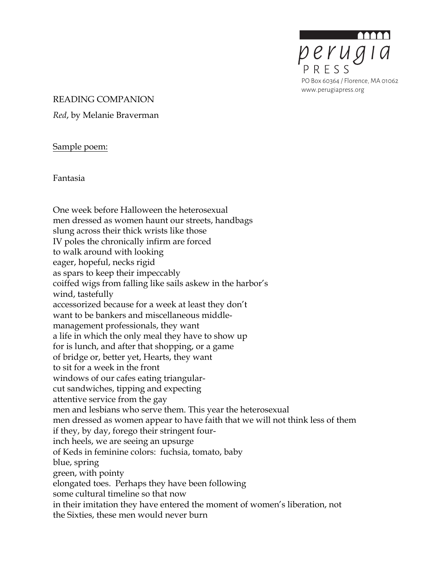

#### READING COMPANION

*Red*, by Melanie Braverman

Sample poem:

Fantasia

One week before Halloween the heterosexual men dressed as women haunt our streets, handbags slung across their thick wrists like those IV poles the chronically infirm are forced to walk around with looking eager, hopeful, necks rigid as spars to keep their impeccably coiffed wigs from falling like sails askew in the harbor's wind, tastefully accessorized because for a week at least they don't want to be bankers and miscellaneous middlemanagement professionals, they want a life in which the only meal they have to show up for is lunch, and after that shopping, or a game of bridge or, better yet, Hearts, they want to sit for a week in the front windows of our cafes eating triangularcut sandwiches, tipping and expecting attentive service from the gay men and lesbians who serve them. This year the heterosexual men dressed as women appear to have faith that we will not think less of them if they, by day, forego their stringent fourinch heels, we are seeing an upsurge of Keds in feminine colors: fuchsia, tomato, baby blue, spring green, with pointy elongated toes. Perhaps they have been following some cultural timeline so that now in their imitation they have entered the moment of women's liberation, not the Sixties, these men would never burn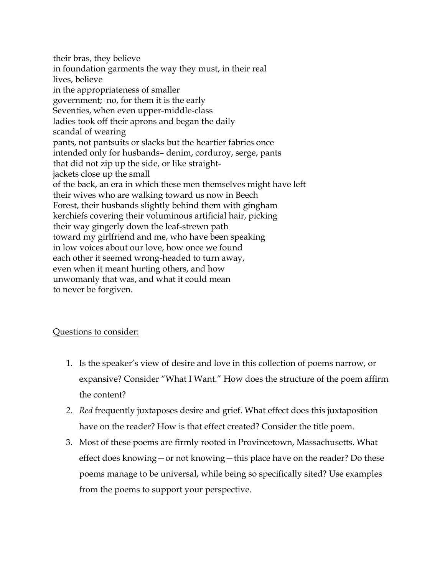their bras, they believe in foundation garments the way they must, in their real lives, believe in the appropriateness of smaller government; no, for them it is the early Seventies, when even upper-middle-class ladies took off their aprons and began the daily scandal of wearing pants, not pantsuits or slacks but the heartier fabrics once intended only for husbands– denim, corduroy, serge, pants that did not zip up the side, or like straightjackets close up the small of the back, an era in which these men themselves might have left their wives who are walking toward us now in Beech Forest, their husbands slightly behind them with gingham kerchiefs covering their voluminous artificial hair, picking their way gingerly down the leaf-strewn path toward my girlfriend and me, who have been speaking in low voices about our love, how once we found each other it seemed wrong-headed to turn away, even when it meant hurting others, and how unwomanly that was, and what it could mean to never be forgiven.

# Questions to consider:

- 1. Is the speaker's view of desire and love in this collection of poems narrow, or expansive? Consider "What I Want." How does the structure of the poem affirm the content?
- *2. Red* frequently juxtaposes desire and grief. What effect does this juxtaposition have on the reader? How is that effect created? Consider the title poem.
- 3. Most of these poems are firmly rooted in Provincetown, Massachusetts. What effect does knowing—or not knowing—this place have on the reader? Do these poems manage to be universal, while being so specifically sited? Use examples from the poems to support your perspective.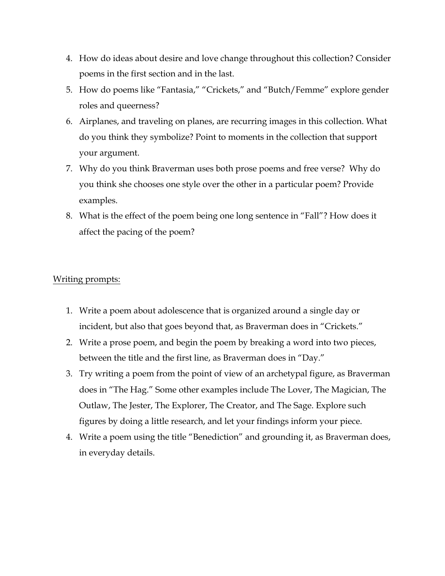- 4. How do ideas about desire and love change throughout this collection? Consider poems in the first section and in the last.
- 5. How do poems like "Fantasia," "Crickets," and "Butch/Femme" explore gender roles and queerness?
- 6. Airplanes, and traveling on planes, are recurring images in this collection. What do you think they symbolize? Point to moments in the collection that support your argument.
- 7. Why do you think Braverman uses both prose poems and free verse? Why do you think she chooses one style over the other in a particular poem? Provide examples.
- 8. What is the effect of the poem being one long sentence in "Fall"? How does it affect the pacing of the poem?

### Writing prompts:

- 1. Write a poem about adolescence that is organized around a single day or incident, but also that goes beyond that, as Braverman does in "Crickets."
- 2. Write a prose poem, and begin the poem by breaking a word into two pieces, between the title and the first line, as Braverman does in "Day."
- 3. Try writing a poem from the point of view of an archetypal figure, as Braverman does in "The Hag." Some other examples include The Lover, The Magician, The Outlaw, The Jester, The Explorer, The Creator, and The Sage. Explore such figures by doing a little research, and let your findings inform your piece.
- 4. Write a poem using the title "Benediction" and grounding it, as Braverman does, in everyday details.